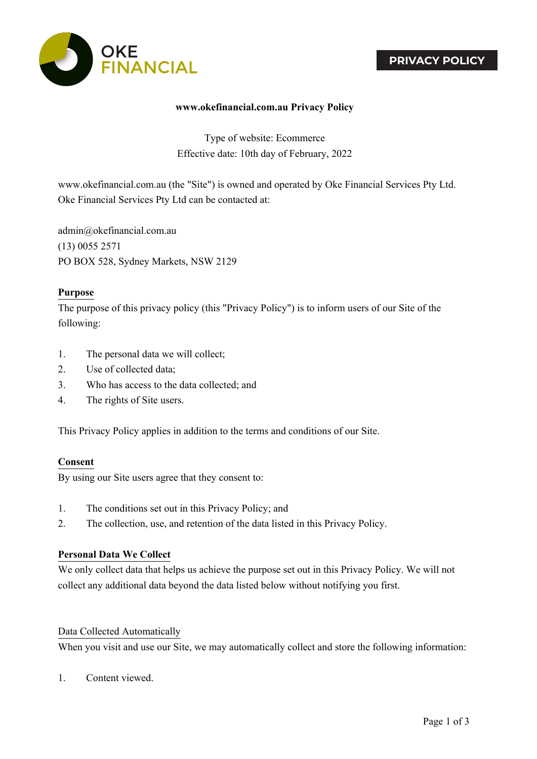# **PRIVACY POLICY**



### **www.okefinancial.com.au Privacy Policy**

Type of website: Ecommerce Effective date: 10th day of February, 2022

www.okefinancial.com.au (the "Site") is owned and operated by Oke Financial Services Pty Ltd. Oke Financial Services Pty Ltd can be contacted at:

admin@okefinancial.com.au (13) 0055 2571 PO BOX 528, Sydney Markets, NSW 2129

#### **Purpose**

The purpose of this privacy policy (this "Privacy Policy") is to inform users of our Site of the following:

- 1. The personal data we will collect;
- 2. Use of collected data;
- 3. Who has access to the data collected; and
- 4. The rights of Site users.

This Privacy Policy applies in addition to the terms and conditions of our Site.

#### **Consent**

By using our Site users agree that they consent to:

- 1. The conditions set out in this Privacy Policy; and
- 2. The collection, use, and retention of the data listed in this Privacy Policy.

#### **Personal Data We Collect**

We only collect data that helps us achieve the purpose set out in this Privacy Policy. We will not collect any additional data beyond the data listed below without notifying you first.

#### Data Collected Automatically

When you visit and use our Site, we may automatically collect and store the following information:

1. Content viewed.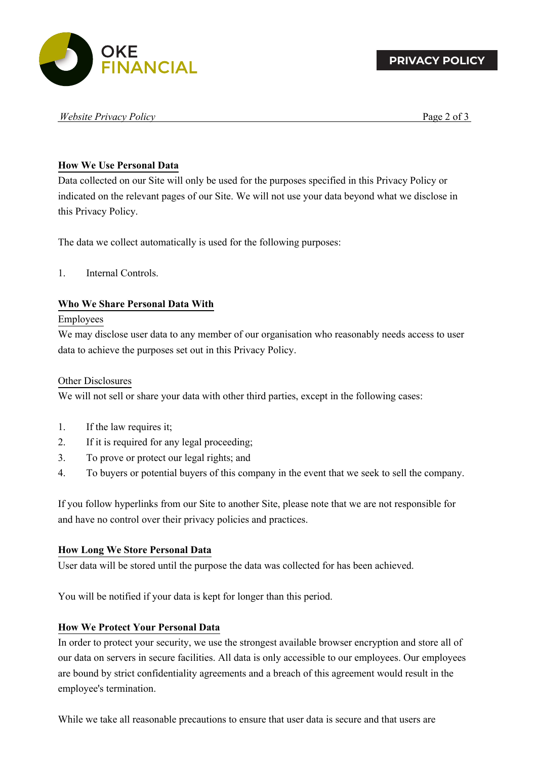

#### *Website Privacy Policy* Page 2 of 3

## **How We Use Personal Data**

Data collected on our Site will only be used for the purposes specified in this Privacy Policy or indicated on the relevant pages of our Site. We will not use your data beyond what we disclose in this Privacy Policy.

The data we collect automatically is used for the following purposes:

## 1. Internal Controls.

## **Who We Share Personal Data With**

### Employees

We may disclose user data to any member of our organisation who reasonably needs access to user data to achieve the purposes set out in this Privacy Policy.

### Other Disclosures

We will not sell or share your data with other third parties, except in the following cases:

- 1. If the law requires it;
- 2. If it is required for any legal proceeding;
- 3. To prove or protect our legal rights; and
- 4. To buyers or potential buyers of this company in the event that we seek to sell the company.

If you follow hyperlinks from our Site to another Site, please note that we are not responsible for and have no control over their privacy policies and practices.

### **How Long We Store Personal Data**

User data will be stored until the purpose the data was collected for has been achieved.

You will be notified if your data is kept for longer than this period.

### **How We Protect Your Personal Data**

In order to protect your security, we use the strongest available browser encryption and store all of our data on servers in secure facilities. All data is only accessible to our employees. Our employees are bound by strict confidentiality agreements and a breach of this agreement would result in the employee's termination.

While we take all reasonable precautions to ensure that user data is secure and that users are